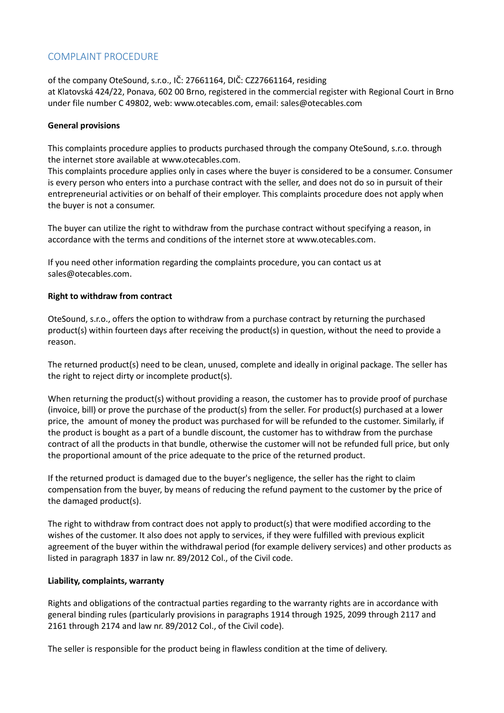# COMPLAINT PROCEDURE

of the company OteSound, s.r.o., IČ: 27661164, DIČ: CZ27661164, residing at Klatovská 424/22, Ponava, 602 00 Brno, registered in the commercial register with Regional Court in Brno under file number C 49802, web: www.otecables.com, email: sales@otecables.com

#### **General provisions**

This complaints procedure applies to products purchased through the company OteSound, s.r.o. through the internet store available at [www.otecables.com.](http://www.otecables.com/)

This complaints procedure applies only in cases where the buyer is considered to be a consumer. Consumer is every person who enters into a purchase contract with the seller, and does not do so in pursuit of their entrepreneurial activities or on behalf of their employer. This complaints procedure does not apply when the buyer is not a consumer.

The buyer can utilize the right to withdraw from the purchase contract without specifying a reason, in accordance with the terms and conditions of the internet store at www.otecables.com.

If you need other information regarding the complaints procedure, you can contact us at sales@otecables.com.

# **Right to withdraw from contract**

OteSound, s.r.o., offers the option to withdraw from a purchase contract by returning the purchased product(s) within fourteen days after receiving the product(s) in question, without the need to provide a reason.

The returned product(s) need to be clean, unused, complete and ideally in original package. The seller has the right to reject dirty or incomplete product(s).

When returning the product(s) without providing a reason, the customer has to provide proof of purchase (invoice, bill) or prove the purchase of the product(s) from the seller. For product(s) purchased at a lower price, the amount of money the product was purchased for will be refunded to the customer. Similarly, if the product is bought as a part of a bundle discount, the customer has to withdraw from the purchase contract of all the products in that bundle, otherwise the customer will not be refunded full price, but only the proportional amount of the price adequate to the price of the returned product.

If the returned product is damaged due to the buyer's negligence, the seller has the right to claim compensation from the buyer, by means of reducing the refund payment to the customer by the price of the damaged product(s).

The right to withdraw from contract does not apply to product(s) that were modified according to the wishes of the customer. It also does not apply to services, if they were fulfilled with previous explicit agreement of the buyer within the withdrawal period (for example delivery services) and other products as listed in paragraph 1837 in law nr. 89/2012 Col., of the Civil code.

# **Liability, complaints, warranty**

Rights and obligations of the contractual parties regarding to the warranty rights are in accordance with general binding rules (particularly provisions in paragraphs 1914 through 1925, 2099 through 2117 and 2161 through 2174 and law nr. 89/2012 Col., of the Civil code).

The seller is responsible for the product being in flawless condition at the time of delivery.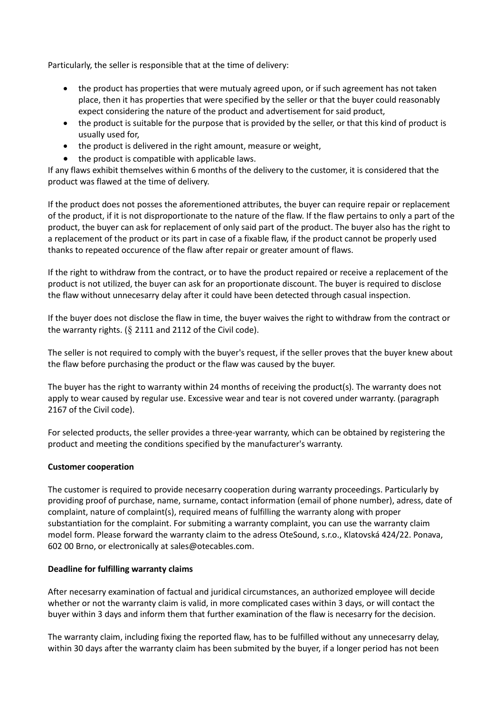Particularly, the seller is responsible that at the time of delivery:

- the product has properties that were mutualy agreed upon, or if such agreement has not taken place, then it has properties that were specified by the seller or that the buyer could reasonably expect considering the nature of the product and advertisement for said product,
- the product is suitable for the purpose that is provided by the seller, or that this kind of product is usually used for,
- the product is delivered in the right amount, measure or weight,
- the product is compatible with applicable laws.

If any flaws exhibit themselves within 6 months of the delivery to the customer, it is considered that the product was flawed at the time of delivery.

If the product does not posses the aforementioned attributes, the buyer can require repair or replacement of the product, if it is not disproportionate to the nature of the flaw. If the flaw pertains to only a part of the product, the buyer can ask for replacement of only said part of the product. The buyer also has the right to a replacement of the product or its part in case of a fixable flaw, if the product cannot be properly used thanks to repeated occurence of the flaw after repair or greater amount of flaws.

If the right to withdraw from the contract, or to have the product repaired or receive a replacement of the product is not utilized, the buyer can ask for an proportionate discount. The buyer is required to disclose the flaw without unnecesarry delay after it could have been detected through casual inspection.

If the buyer does not disclose the flaw in time, the buyer waives the right to withdraw from the contract or the warranty rights. (§ 2111 and 2112 of the Civil code).

The seller is not required to comply with the buyer's request, if the seller proves that the buyer knew about the flaw before purchasing the product or the flaw was caused by the buyer.

The buyer has the right to warranty within 24 months of receiving the product(s). The warranty does not apply to wear caused by regular use. Excessive wear and tear is not covered under warranty. (paragraph 2167 of the Civil code).

For selected products, the seller provides a three-year warranty, which can be obtained by registering the product and meeting the conditions specified by the manufacturer's warranty.

#### **Customer cooperation**

The customer is required to provide necesarry cooperation during warranty proceedings. Particularly by providing proof of purchase, name, surname, contact information (email of phone number), adress, date of complaint, nature of complaint(s), required means of fulfilling the warranty along with proper substantiation for the complaint. For submiting a warranty complaint, you can use the warranty claim model form. Please forward the warranty claim to the adress OteSound, s.r.o., Klatovská 424/22. Ponava, 602 00 Brno, or electronically at sales@otecables.com.

#### **Deadline for fulfilling warranty claims**

After necesarry examination of factual and juridical circumstances, an authorized employee will decide whether or not the warranty claim is valid, in more complicated cases within 3 days, or will contact the buyer within 3 days and inform them that further examination of the flaw is necesarry for the decision.

The warranty claim, including fixing the reported flaw, has to be fulfilled without any unnecesarry delay, within 30 days after the warranty claim has been submited by the buyer, if a longer period has not been